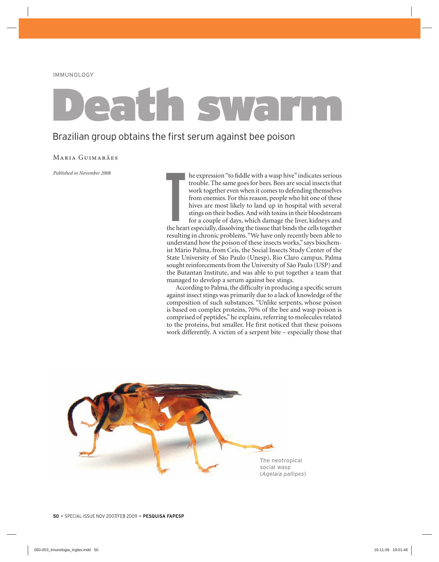# Death swarm

# Brazilian group obtains the first serum against bee poison

### Maria Guimarães

*Published in November 2008*

**T**<br>the hear he expression "to fiddle with a wasp hive" indicates serious trouble. The same goes for bees. Bees are social insects that work together even when it comes to defending themselves from enemies. For this reason, people who hit one of these hives are most likely to land up in hospital with several stings on their bodies. And with toxins in their bloodstream for a couple of days, which damage the liver, kidneys and the heart especially, dissolving the tissue that binds the cells together resulting in chronic problems. "We have only recently been able to understand how the poison of these insects works," says biochemist Mário Palma, from Ceis, the Social Insects Study Center of the State University of São Paulo (Unesp), Rio Claro campus. Palma sought reinforcements from the University of São Paulo (USP) and the Butantan Institute, and was able to put together a team that managed to develop a serum against bee stings.

According to Palma, the difficulty in producing a specific serum against insect stings was primarily due to a lack of knowledge of the composition of such substances. "Unlike serpents, whose poison is based on complex proteins, 70% of the bee and wasp poison is comprised of peptides," he explains, referring to molecules related to the proteins, but smaller. He first noticed that these poisons work differently. A victim of a serpent bite – especially those that

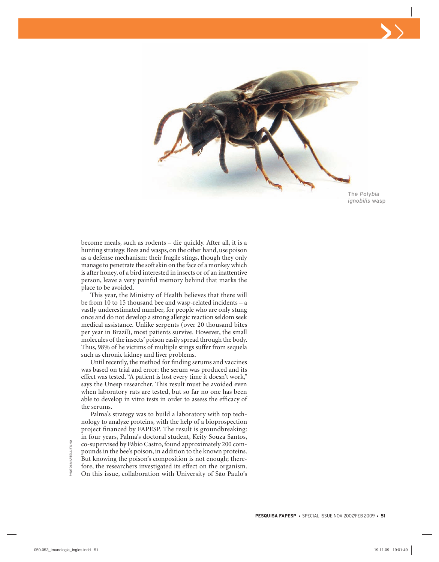

The *Polybia ignobilis* wasp

become meals, such as rodents – die quickly. After all, it is a hunting strategy. Bees and wasps, on the other hand, use poison as a defense mechanism: their fragile stings, though they only manage to penetrate the soft skin on the face of a monkey which is after honey, of a bird interested in insects or of an inattentive person, leave a very painful memory behind that marks the place to be avoided.

This year, the Ministry of Health believes that there will be from 10 to 15 thousand bee and wasp-related incidents – a vastly underestimated number, for people who are only stung once and do not develop a strong allergic reaction seldom seek medical assistance. Unlike serpents (over 20 thousand bites per year in Brazil), most patients survive. However, the small molecules of the insects' poison easily spread through the body. Thus, 98% of he victims of multiple stings suffer from sequela such as chronic kidney and liver problems.

Until recently, the method for finding serums and vaccines was based on trial and error: the serum was produced and its effect was tested. "A patient is lost every time it doesn't work," says the Unesp researcher. This result must be avoided even when laboratory rats are tested, but so far no one has been able to develop in vitro tests in order to assess the efficacy of the serums.

Palma's strategy was to build a laboratory with top technology to analyze proteins, with the help of a bioprospection project financed by FAPESP. The result is groundbreaking: in four years, Palma's doctoral student, Keity Souza Santos, co-supervised by Fábio Castro, found approximately 200 compounds in the bee's poison, in addition to the known proteins. But knowing the poison's composition is not enough; therefore, the researchers investigated its effect on the organism. On this issue, collaboration with University of São Paulo's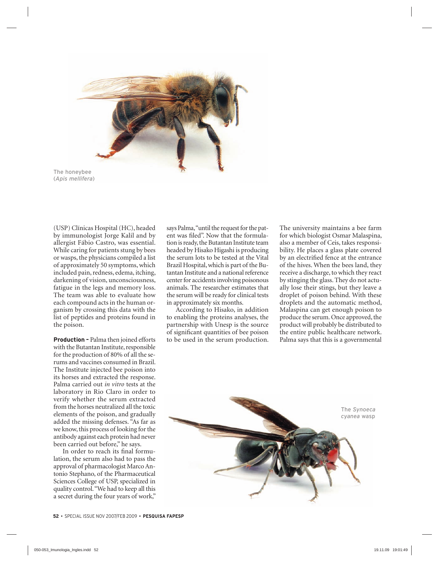

The honeybee (*Apis mellifera*)

(USP) Clínicas Hospital (HC), headed by immunologist Jorge Kalil and by allergist Fábio Castro, was essential. While caring for patients stung by bees or wasps, the physicians compiled a list of approximately 50 symptoms, which included pain, redness, edema, itching, darkening of vision, unconsciousness, fatigue in the legs and memory loss. The team was able to evaluate how each compound acts in the human organism by crossing this data with the list of peptides and proteins found in the poison.

**Production –** Palma then joined efforts with the Butantan Institute, responsible for the production of 80% of all the serums and vaccines consumed in Brazil. The Institute injected bee poison into its horses and extracted the response. Palma carried out *in vitro* tests at the laboratory in Rio Claro in order to verify whether the serum extracted from the horses neutralized all the toxic elements of the poison, and gradually added the missing defenses. "As far as we know, this process of looking for the antibody against each protein had never been carried out before," he says.

In order to reach its final formulation, the serum also had to pass the approval of pharmacologist Marco Antonio Stephano, of the Pharmaceutical Sciences College of USP, specialized in quality control. "We had to keep all this a secret during the four years of work,"

says Palma, "until the request for the patent was filed". Now that the formulation is ready, the Butantan Institute team headed by Hisako Higashi is producing the serum lots to be tested at the Vital Brazil Hospital, which is part of the Butantan Institute and a national reference center for accidents involving poisonous animals. The researcher estimates that the serum will be ready for clinical tests in approximately six months.

According to Hisako, in addition to enabling the proteins analyses, the partnership with Unesp is the source of significant quantities of bee poison to be used in the serum production. The university maintains a bee farm for which biologist Osmar Malaspina, also a member of Ceis, takes responsibility. He places a glass plate covered by an electrified fence at the entrance of the hives. When the bees land, they receive a discharge, to which they react by stinging the glass. They do not actually lose their stings, but they leave a droplet of poison behind. With these droplets and the automatic method, Malaspina can get enough poison to produce the serum. Once approved, the product will probably be distributed to the entire public healthcare network. Palma says that this is a governmental